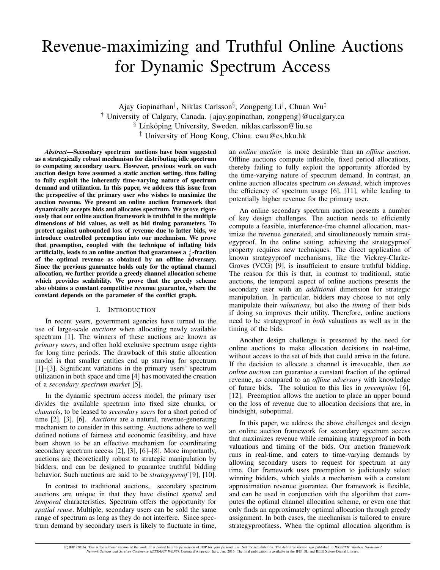# Revenue-maximizing and Truthful Online Auctions for Dynamic Spectrum Access

Ajay Gopinathan† , Niklas Carlsson§ , Zongpeng Li† , Chuan Wu‡ † University of Calgary, Canada. {ajay.gopinathan, zongpeng}@ucalgary.ca § Linköping University, Sweden. niklas.carlsson@liu.se ‡ University of Hong Kong, China. cwu@cs.hku.hk

*Abstract*—Secondary spectrum auctions have been suggested as a strategically robust mechanism for distributing idle spectrum to competing secondary users. However, previous work on such auction design have assumed a static auction setting, thus failing to fully exploit the inherently time-varying nature of spectrum demand and utilization. In this paper, we address this issue from the perspective of the primary user who wishes to maximize the auction revenue. We present an online auction framework that dynamically accepts bids and allocates spectrum. We prove rigorously that our online auction framework is truthful in the multiple dimensions of bid values, as well as bid timing parameters. To protect against unbounded loss of revenue due to latter bids, we introduce controlled preemption into our mechanism. We prove that preemption, coupled with the technique of inflating bids artificially, leads to an online auction that guarantees a  $\frac{1}{5}$ -fraction of the optimal revenue as obtained by an offline adversary. Since the previous guarantee holds only for the optimal channel allocation, we further provide a greedy channel allocation scheme which provides scalability. We prove that the greedy scheme also obtains a constant competitive revenue guarantee, where the constant depends on the parameter of the conflict graph.

# I. INTRODUCTION

In recent years, government agencies have turned to the use of large-scale *auctions* when allocating newly available spectrum [1]. The winners of these auctions are known as *primary users*, and often hold exclusive spectrum usage rights for long time periods. The drawback of this static allocation model is that smaller entities end up starving for spectrum [1]–[3]. Significant variations in the primary users' spectrum utilization in both space and time [4] has motivated the creation of a *secondary spectrum market* [5].

In the dynamic spectrum access model, the primary user divides the available spectrum into fixed size chunks, or *channels*, to be leased to *secondary users* for a short period of time [2], [3], [6]. *Auctions* are a natural, revenue-generating mechanism to consider in this setting. Auctions adhere to well defined notions of fairness and economic feasibility, and have been shown to be an effective mechanism for coordinating secondary spectrum access [2], [3], [6]–[8]. More importantly, auctions are theoretically robust to strategic manipulation by bidders, and can be designed to guarantee truthful bidding behavior. Such auctions are said to be *strategyproof* [9], [10].

In contrast to traditional auctions, secondary spectrum auctions are unique in that they have distinct *spatial* and *temporal* characteristics. Spectrum offers the opportunity for *spatial reuse*. Multiple, secondary users can be sold the same range of spectrum as long as they do not interfere. Since spectrum demand by secondary users is likely to fluctuate in time, an *online auction* is more desirable than an *offline auction*. Offline auctions compute inflexible, fixed period allocations, thereby failing to fully exploit the opportunity afforded by the time-varying nature of spectrum demand. In contrast, an online auction allocates spectrum *on demand*, which improves the efficiency of spectrum usage [6], [11], while leading to potentially higher revenue for the primary user.

An online secondary spectrum auction presents a number of key design challenges. The auction needs to efficiently compute a feasible, interference-free channel allocation, maximize the revenue generated, and simultaneously remain strategyproof. In the online setting, achieving the strategyproof property requires new techniques. The direct application of known strategyproof mechanisms, like the Vickrey-Clarke-Groves (VCG) [9], is insufficient to ensure truthful bidding. The reason for this is that, in contrast to traditional, static auctions, the temporal aspect of online auctions presents the secondary user with an *additional* dimension for strategic manipulation. In particular, bidders may choose to not only manipulate their *valuations*, but also the *timing* of their bids if doing so improves their utility. Therefore, online auctions need to be strategyproof in *both* valuations as well as in the timing of the bids.

Another design challenge is presented by the need for online auctions to make allocation decisions in real-time, without access to the set of bids that could arrive in the future. If the decision to allocate a channel is irrevocable, then *no online auction* can guarantee a constant fraction of the optimal revenue, as compared to an *offline adversary* with knowledge of future bids. The solution to this lies in *preemption* [6], [12]. Preemption allows the auction to place an upper bound on the loss of revenue due to allocation decisions that are, in hindsight, suboptimal.

In this paper, we address the above challenges and design an online auction framework for secondary spectrum access that maximizes revenue while remaining strategyproof in both valuations and timing of the bids. Our auction framework runs in real-time, and caters to time-varying demands by allowing secondary users to request for spectrum at any time. Our framework uses preemption to judiciously select winning bidders, which yields a mechanism with a constant approximation revenue guarantee. Our framework is flexible, and can be used in conjunction with the algorithm that computes the optimal channel allocation scheme, or even one that only finds an approximately optimal allocation through greedy assignment. In both cases, the mechanism is tailored to ensure strategyproofness. When the optimal allocation algorithm is

DIFIP (2016). This is the authors' version of the work. It is posted here by permission of IFIP for your personal use. Not for redistribution. The definitive version was published in IEEE/IFIP Wireless On-demand (PEE/IFIP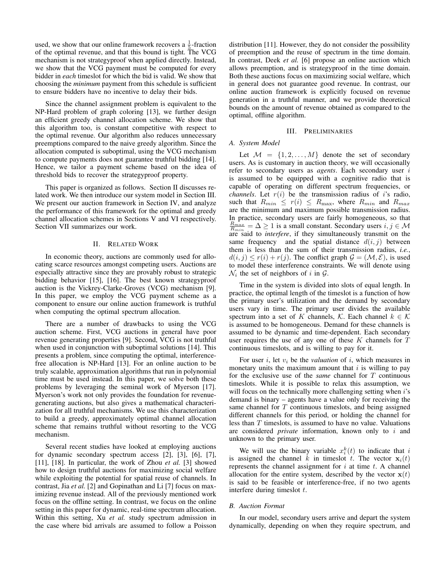used, we show that our online framework recovers a  $\frac{1}{5}$ -fraction of the optimal revenue, and that this bound is tight. The VCG mechanism is not strategyproof when applied directly. Instead, we show that the VCG payment must be computed for every bidder in *each* timeslot for which the bid is valid. We show that choosing the *minimum* payment from this schedule is sufficient to ensure bidders have no incentive to delay their bids.

Since the channel assignment problem is equivalent to the NP-Hard problem of graph coloring [13], we further design an efficient greedy channel allocation scheme. We show that this algorithm too, is constant competitive with respect to the optimal revenue. Our algorithm also reduces unnecessary preemptions compared to the naive greedy algorithm. Since the allocation computed is suboptimal, using the VCG mechanism to compute payments does not guarantee truthful bidding [14]. Hence, we tailor a payment scheme based on the idea of threshold bids to recover the strategyproof property.

This paper is organized as follows. Section II discusses related work. We then introduce our system model in Section III. We present our auction framework in Section IV, and analyze the performance of this framework for the optimal and greedy channel allocation schemes in Sections V and VI respectively. Section VII summarizes our work.

# II. RELATED WORK

In economic theory, auctions are commonly used for allocating scarce resources amongst competing users. Auctions are especially attractive since they are provably robust to strategic bidding behavior [15], [16]. The best known strategyproof auction is the Vickrey-Clarke-Groves (VCG) mechanism [9]. In this paper, we employ the VCG payment scheme as a component to ensure our online auction framework is truthful when computing the optimal spectrum allocation.

There are a number of drawbacks to using the VCG auction scheme. First, VCG auctions in general have poor revenue generating properties [9]. Second, VCG is not truthful when used in conjunction with suboptimal solutions [14]. This presents a problem, since computing the optimal, interferencefree allocation is NP-Hard [13]. For an online auction to be truly scalable, approximation algorithms that run in polynomial time must be used instead. In this paper, we solve both these problems by leveraging the seminal work of Myerson [17]. Myerson's work not only provides the foundation for revenuegenerating auctions, but also gives a mathematical characterization for all truthful mechanisms. We use this characterization to build a greedy, approximately optimal channel allocation scheme that remains truthful without resorting to the VCG mechanism.

Several recent studies have looked at employing auctions for dynamic secondary spectrum access [2], [3], [6], [7], [11], [18]. In particular, the work of Zhou *et al.* [3] showed how to design truthful auctions for maximizing social welfare while exploiting the potential for spatial reuse of channels. In contrast, Jia *et al.* [2] and Gopinathan and Li [7] focus on maximizing revenue instead. All of the previously mentioned work focus on the offline setting. In contrast, we focus on the online setting in this paper for dynamic, real-time spectrum allocation. Within this setting, Xu *et al.* study spectrum admission in the case where bid arrivals are assumed to follow a Poisson

distribution [11]. However, they do not consider the possibility of preemption and the reuse of spectrum in the time domain. In contrast, Deek *et al.* [6] propose an online auction which allows preemption, and is strategyproof in the time domain. Both these auctions focus on maximizing social welfare, which in general does not guarantee good revenue. In contrast, our online auction framework is explicitly focused on revenue generation in a truthful manner, and we provide theoretical bounds on the amount of revenue obtained as compared to the optimal, offline algorithm.

## III. PRELIMINARIES

# *A. System Model*

Let  $M = \{1, 2, ..., M\}$  denote the set of secondary users. As is customary in auction theory, we will occasionally refer to secondary users as *agents*. Each secondary user i is assumed to be equipped with a cognitive radio that is capable of operating on different spectrum frequencies, or *channels*. Let  $r(i)$  be the transmission radius of i's radio, such that  $R_{min} \leq r(i) \leq R_{max}$ , where  $R_{min}$  and  $R_{max}$ are the minimum and maximum possible transmission radius. In practice, secondary users are fairly homogeneous, so that  $\frac{R_{max}}{R_{min}} = \Delta \ge 1$  is a small constant. Secondary users  $i, j \in \mathcal{M}$ are said to *interfere*, if they simultaneously transmit on the same frequency and the spatial distance  $d(i, j)$  between them is less than the sum of their transmission radius, *i.e.*,  $d(i, j) \leq r(i) + r(j)$ . The conflict graph  $\mathcal{G} = (\mathcal{M}, \mathcal{E})$ , is used to model these interference constraints. We will denote using  $\mathcal{N}_i$  the set of neighbors of i in  $\mathcal{G}$ .

Time in the system is divided into slots of equal length. In practice, the optimal length of the timeslot is a function of how the primary user's utilization and the demand by secondary users vary in time. The primary user divides the available spectrum into a set of K channels, K. Each channel  $k \in \mathcal{K}$ is assumed to be homogeneous. Demand for these channels is assumed to be dynamic and time-dependent. Each secondary user requires the use of any one of these  $K$  channels for  $T$ continuous timeslots, and is willing to pay for it.

For user  $i$ , let  $v_i$  be the *valuation* of  $i$ , which measures in monetary units the maximum amount that  $i$  is willing to pay for the exclusive use of the *same* channel for T continuous timeslots. While it is possible to relax this assumption, we will focus on the technically more challenging setting when  $i$ 's demand is binary – agents have a value only for receiving the same channel for  $T$  continuous timeslots, and being assigned different channels for this period, or holding the channel for less than T timeslots, is assumed to have no value. Valuations are considered *private* information, known only to i and unknown to the primary user.

We will use the binary variable  $x_i^k(t)$  to indicate that i is assigned the channel k in timeslot t. The vector  $x_i(t)$ represents the channel assignment for  $i$  at time  $t$ . A channel allocation for the entire system, described by the vector  $x(t)$ is said to be feasible or interference-free, if no two agents interfere during timeslot  $t$ .

# *B. Auction Format*

In our model, secondary users arrive and depart the system dynamically, depending on when they require spectrum, and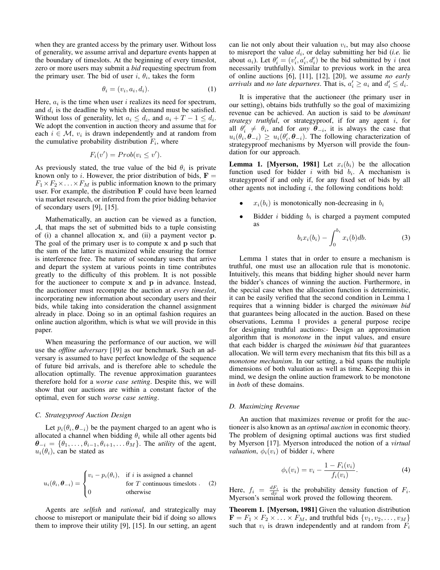when they are granted access by the primary user. Without loss of generality, we assume arrival and departure events happen at the boundary of timeslots. At the beginning of every timeslot, zero or more users may submit a *bid* requesting spectrum from the primary user. The bid of user i,  $\theta_i$ , takes the form

$$
\theta_i = (v_i, a_i, d_i). \tag{1}
$$

Here,  $a_i$  is the time when user i realizes its need for spectrum, and  $d_i$  is the deadline by which this demand must be satisfied. Without loss of generality, let  $a_i \leq d_i$ , and  $a_i + T - 1 \leq d_i$ . We adopt the convention in auction theory and assume that for each  $i \in \mathcal{M}$ ,  $v_i$  is drawn independently and at random from the cumulative probability distribution  $F_i$ , where

$$
F_i(v') = Prob(v_i \le v').
$$

As previously stated, the true value of the bid  $\theta_i$  is private known only to i. However, the prior distribution of bids,  $\mathbf{F} =$  $F_1 \times F_2 \times \ldots \times F_M$  is public information known to the primary user. For example, the distribution F could have been learned via market research, or inferred from the prior bidding behavior of secondary users [9], [15].

Mathematically, an auction can be viewed as a function, A, that maps the set of submitted bids to a tuple consisting of (i) a channel allocation x, and (ii) a payment vector p. The goal of the primary user is to compute x and p such that the sum of the latter is maximized while ensuring the former is interference free. The nature of secondary users that arrive and depart the system at various points in time contributes greatly to the difficulty of this problem. It is not possible for the auctioneer to compute  $x$  and  $p$  in advance. Instead, the auctioneer must recompute the auction at *every timeslot*, incorporating new information about secondary users and their bids, while taking into consideration the channel assignment already in place. Doing so in an optimal fashion requires an online auction algorithm, which is what we will provide in this paper.

When measuring the performance of our auction, we will use the *offline adversary* [19] as our benchmark. Such an adversary is assumed to have perfect knowledge of the sequence of future bid arrivals, and is therefore able to schedule the allocation optimally. The revenue approximation guarantees therefore hold for a *worse case setting*. Despite this, we will show that our auctions are within a constant factor of the optimal, even for such *worse case setting*.

# *C. Strategyproof Auction Design*

Let  $p_i(\theta_i, \theta_{-i})$  be the payment charged to an agent who is allocated a channel when bidding  $\theta_i$  while all other agents bid  $\theta_{-i} = {\theta_1, \ldots, \theta_{i-1}, \theta_{i+1}, \ldots, \theta_M}$ . The *utility* of the agent,  $u_i(\theta_i)$ , can be stated as

$$
u_i(\theta_i, \boldsymbol{\theta}_{-i}) = \begin{cases} v_i - p_i(\theta_i), & \text{if } i \text{ is assigned a channel} \\ 0 & \text{for } T \text{ continuous times} \end{cases}
$$
 (2) otherwise

Agents are *selfish* and *rational*, and strategically may choose to misreport or manipulate their bid if doing so allows them to improve their utility [9], [15]. In our setting, an agent

can lie not only about their valuation  $v_i$ , but may also choose to misreport the value  $d_i$ , or delay submitting her bid (*i.e.* lie about  $a_i$ ). Let  $\theta'_i = (v'_i, a'_i, d'_i)$  be the bid submitted by i (not necessarily truthfully). Similar to previous work in the area of online auctions [6], [11], [12], [20], we assume *no early arrivals* and *no late departures*. That is,  $a'_i \geq a_i$  and  $d'_i \leq d_i$ .

It is imperative that the auctioneer (the primary user in our setting), obtains bids truthfully so the goal of maximizing revenue can be achieved. An auction is said to be *dominant strategy truthful*, or strategyproof, if for any agent i, for all  $\theta_i' \neq \theta_i$ , and for *any*  $\theta_{-i}$ , it is always the case that  $u_i(\theta_i, \dot{\theta}_{-i}) \geq u_i(\theta_i', \theta_{-i})$ . The following characterization of strategyproof mechanisms by Myerson will provide the foundation for our approach.

**Lemma 1. [Myerson, 1981]** Let  $x_i(b_i)$  be the allocation function used for bidder i with bid  $b_i$ . A mechanism is strategyproof if and only if, for any fixed set of bids by all other agents not including  $i$ , the following conditions hold:

- $x_i(b_i)$  is monotonically non-decreasing in  $b_i$
- Bidder *i* bidding  $b_i$  is charged a payment computed as

$$
b_i x_i(b_i) - \int_0^{b_i} x_i(b) db.
$$
 (3)

Lemma 1 states that in order to ensure a mechanism is truthful, one must use an allocation rule that is monotonic. Intuitively, this means that bidding higher should never harm the bidder's chances of winning the auction. Furthermore, in the special case when the allocation function is deterministic, it can be easily verified that the second condition in Lemma 1 requires that a winning bidder is charged the *minimum bid* that guarantees being allocated in the auction. Based on these observations, Lemma 1 provides a general purpose recipe for designing truthful auctions:- Design an approximation algorithm that is *monotone* in the input values, and ensure that each bidder is charged the *minimum bid* that guarantees allocation. We will term every mechanism that fits this bill as a *monotone mechanism*. In our setting, a bid spans the multiple dimensions of both valuation as well as time. Keeping this in mind, we design the online auction framework to be monotone in *both* of these domains.

# *D. Maximizing Revenue*

An auction that maximizes revenue or profit for the auctioneer is also known as an *optimal auction* in economic theory. The problem of designing optimal auctions was first studied by Myerson [17]. Myerson introduced the notion of a *virtual valuation*,  $\phi_i(v_i)$  of bidder *i*, where

$$
\phi_i(v_i) = v_i - \frac{1 - F_i(v_i)}{f_i(v_i)}.
$$
\n(4)

Here,  $f_i = \frac{dF_i}{dv}$  is the probability density function of  $F_i$ . Myerson's seminal work proved the following theorem.

Theorem 1. [Myerson, 1981] Given the valuation distribution  $\mathbf{F} = F_1 \times F_2 \times \ldots \times F_M$ , and truthful bids  $\{v_1, v_2, \ldots, v_M\}$ such that  $v_i$  is drawn independently and at random from  $F_i$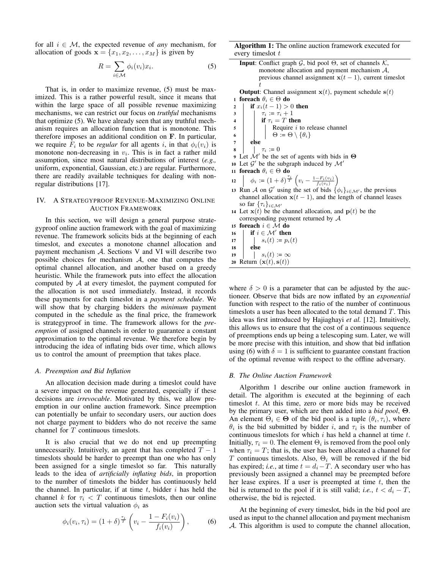for all  $i \in \mathcal{M}$ , the expected revenue of *any* mechanism, for allocation of goods  $\mathbf{x} = \{x_1, x_2, \dots, x_M\}$  is given by

$$
R = \sum_{i \in \mathcal{M}} \phi_i(v_i) x_i.
$$
 (5)

That is, in order to maximize revenue, (5) must be maximized. This is a rather powerful result, since it means that within the large space of all possible revenue maximizing mechanisms, we can restrict our focus on *truthful* mechanisms that optimize (5). We have already seen that any truthful mechanism requires an allocation function that is monotone. This therefore imposes an additional condition on F. In particular, we require  $F_i$  to be *regular* for all agents i, in that  $\phi_i(v_i)$  is monotone non-decreasing in  $v_i$ . This is in fact a rather mild assumption, since most natural distributions of interest (*e.g.,* uniform, exponential, Gaussian, etc.) are regular. Furthermore, there are readily available techniques for dealing with nonregular distributions [17].

# IV. A STRATEGYPROOF REVENUE-MAXIMIZING ONLINE AUCTION FRAMEWORK

In this section, we will design a general purpose strategyproof online auction framework with the goal of maximizing revenue. The framework solicits bids at the beginning of each timeslot, and executes a monotone channel allocation and payment mechanism A. Sections V and VI will describe two possible choices for mechanism  $A$ , one that computes the optimal channel allocation, and another based on a greedy heuristic. While the framework puts into effect the allocation computed by A at every timeslot, the payment computed for the allocation is not used immediately. Instead, it records these payments for each timeslot in a *payment schedule*. We will show that by charging bidders the *minimum* payment computed in the schedule as the final price, the framework is strategyproof in time. The framework allows for the *preemption* of assigned channels in order to guarantee a constant approximation to the optimal revenue. We therefore begin by introducing the idea of inflating bids over time, which allows us to control the amount of preemption that takes place.

# *A. Preemption and Bid Inflation*

An allocation decision made during a timeslot could have a severe impact on the revenue generated, especially if these decisions are *irrevocable*. Motivated by this, we allow preemption in our online auction framework. Since preemption can potentially be unfair to secondary users, our auction does not charge payment to bidders who do not receive the same channel for T continuous timeslots.

It is also crucial that we do not end up preempting unnecessarily. Intuitively, an agent that has completed  $T - 1$ timeslots should be harder to preempt than one who has only been assigned for a single timeslot so far. This naturally leads to the idea of *artificially inflating bids*, in proportion to the number of timeslots the bidder has continuously held the channel. In particular, if at time  $t$ , bidder  $i$  has held the channel k for  $\tau_i < T$  continuous timeslots, then our online auction sets the virtual valuation  $\phi_i$  as

$$
\phi_i(v_i, \tau_i) = (1+\delta)^{\frac{\tau_i}{T}} \left( v_i - \frac{1-F_i(v_i)}{f_i(v_i)} \right), \tag{6}
$$

Algorithm 1: The online auction framework executed for every timeslot t

|                         | <b>Input:</b> Conflict graph $G$ , bid pool $\Theta$ , set of channels $K$ ,                  |
|-------------------------|-----------------------------------------------------------------------------------------------|
|                         | monotone allocation and payment mechanism $A$ ,                                               |
|                         | previous channel assignment $x(t-1)$ , current times lot                                      |
|                         | t                                                                                             |
|                         | <b>Output:</b> Channel assignment $x(t)$ , payment schedule $s(t)$                            |
| 1                       | foreach $\theta_i \in \Theta$ do                                                              |
| $\boldsymbol{2}$        | <b>if</b> $x_i(t-1) > 0$ then                                                                 |
| 3                       | $\tau_i := \tau_i + 1$                                                                        |
| $\overline{\mathbf{4}}$ | $\tau_i := \tau_i + 1$<br>if $\tau_i = T$ then                                                |
| 5                       | Require <i>i</i> to release channel<br>$\Theta := \Theta \setminus \{\theta_i\}$              |
| 6                       |                                                                                               |
| 7                       | else                                                                                          |
| 8                       | $\tau_i := 0$                                                                                 |
|                         | <b>9</b> Let $\mathcal{M}'$ be the set of agents with bids in $\Theta$                        |
|                         | 10 Let $\mathcal{G}'$ be the subgraph induced by $\mathcal{M}'$                               |
|                         | 11 foreach $\theta_i \in \Theta$ do                                                           |
|                         | 12 $\phi_i := (1+\delta)^{\frac{\tau_i}{T}} \left( v_i - \frac{1-F_i(v_i)}{f_i(v_i)} \right)$ |
|                         | 13 Run A on G' using the set of bids $\{\phi_i\}_{i \in \mathcal{M}}$ , the previous          |
|                         | channel allocation $x(t-1)$ , and the length of channel leases                                |
|                         | so far $\{\tau_i\}_{i \in \mathcal{M}'}$                                                      |
|                         | 14 Let $x(t)$ be the channel allocation, and $p(t)$ be the                                    |
|                         | corresponding payment returned by $A$                                                         |
|                         | 15 foreach $i \in \mathcal{M}$ do                                                             |
| 16                      | if $i \in \mathcal{M}'$ then                                                                  |
| 17                      | $s_i(t) := p_i(t)$                                                                            |
| 18                      | ∣ else                                                                                        |
| 19                      | $s_i(t) := \infty$                                                                            |
|                         | 20 Return $(\mathbf{x}(t), \mathbf{s}(t))$                                                    |
|                         |                                                                                               |
|                         |                                                                                               |

where  $\delta > 0$  is a parameter that can be adjusted by the auctioneer. Observe that bids are now inflated by an *exponential* function with respect to the ratio of the number of continuous timeslots a user has been allocated to the total demand  $T$ . This idea was first introduced by Hajiaghayi *et al.* [12]. Intuitively, this allows us to ensure that the cost of a continuous sequence of preemptions ends up being a telescoping sum. Later, we will be more precise with this intuition, and show that bid inflation using (6) with  $\delta = 1$  is sufficient to guarantee constant fraction of the optimal revenue with respect to the offline adversary.

#### *B. The Online Auction Framework*

Algorithm 1 describe our online auction framework in detail. The algorithm is executed at the beginning of each timeslot  $t$ . At this time, zero or more bids may be received by the primary user, which are then added into a *bid pool*, Θ. An element  $\Theta_i \in \Theta$  of the bid pool is a tuple  $(\theta_i, \tau_i)$ , where  $\theta_i$  is the bid submitted by bidder i, and  $\tau_i$  is the number of continuous timeslots for which  $i$  has held a channel at time  $t$ . Initially,  $\tau_i = 0$ . The element  $\Theta_i$  is removed from the pool only when  $\tau_i = T$ ; that is, the user has been allocated a channel for T continuous timeslots. Also,  $\Theta_i$  will be removed if the bid has expired; *i.e.*, at time  $t = d_i - T$ . A secondary user who has previously been assigned a channel may be preempted before her lease expires. If a user is preempted at time  $t$ , then the bid is returned to the pool if it is still valid; *i.e.*,  $t < d_i - T$ , otherwise, the bid is rejected.

At the beginning of every timeslot, bids in the bid pool are used as input to the channel allocation and payment mechanism A. This algorithm is used to compute the channel allocation,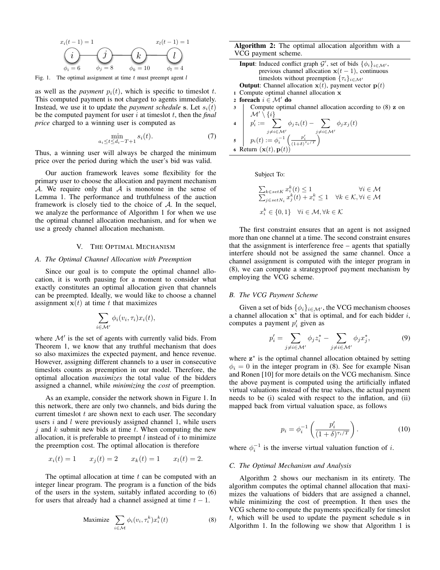

Fig. 1. The optimal assignment at time  $t$  must preempt agent  $l$ 

as well as the *payment*  $p_i(t)$ , which is specific to timeslot t. This computed payment is not charged to agents immediately. Instead, we use it to update the *payment schedule* s. Let  $s_i(t)$ be the computed payment for user i at timeslot t, then the *final price* charged to a winning user is computed as

$$
\min_{a_i \le t \le d_i - T + 1} s_i(t). \tag{7}
$$

Thus, a winning user will always be charged the minimum price over the period during which the user's bid was valid.

Our auction framework leaves some flexibility for the primary user to choose the allocation and payment mechanism  $A$ . We require only that  $A$  is monotone in the sense of Lemma 1. The performance and truthfulness of the auction framework is closely tied to the choice of  $A$ . In the sequel, we analyze the performance of Algorithm 1 for when we use the optimal channel allocation mechanism, and for when we use a greedy channel allocation mechanism.

#### V. THE OPTIMAL MECHANISM

# *A. The Optimal Channel Allocation with Preemption*

Since our goal is to compute the optimal channel allocation, it is worth pausing for a moment to consider what exactly constitutes an optimal allocation given that channels can be preempted. Ideally, we would like to choose a channel assignment  $x(t)$  at time t that maximizes

$$
\sum_{i \in \mathcal{M}'} \phi_i(v_i, \tau_i) x_i(t),
$$

where  $\mathcal{M}'$  is the set of agents with currently valid bids. From Theorem 1, we know that any truthful mechanism that does so also maximizes the expected payment, and hence revenue. However, assigning different channels to a user in consecutive timeslots counts as preemption in our model. Therefore, the optimal allocation *maximizes* the total value of the bidders assigned a channel, while *minimizing* the *cost* of preemption.

As an example, consider the network shown in Figure 1. In this network, there are only two channels, and bids during the current timeslot  $t$  are shown next to each user. The secondary users  $i$  and  $l$  were previously assigned channel 1, while users j and  $k$  submit new bids at time  $t$ . When computing the new allocation, it is preferable to preempt  $l$  instead of  $i$  to minimize the preemption cost. The optimal allocation is therefore

$$
x_i(t) = 1
$$
  $x_j(t) = 2$   $x_k(t) = 1$   $x_l(t) = 2$ .

The optimal allocation at time  $t$  can be computed with an integer linear program. The program is a function of the bids of the users in the system, suitably inflated according to (6) for users that already had a channel assigned at time  $t - 1$ .

$$
\text{Maximize} \quad \sum_{i \in \mathcal{M}} \phi_i(v_i, \tau_i^k) x_i^k(t) \tag{8}
$$

Algorithm 2: The optimal allocation algorithm with a VCG payment scheme.

| <b>Input:</b> Induced conflict graph $\mathcal{G}'$ , set of bids $\{\phi_i\}_{i \in \mathcal{M}'},$                                                                                                                                    |
|-----------------------------------------------------------------------------------------------------------------------------------------------------------------------------------------------------------------------------------------|
| previous channel allocation $x(t-1)$ , continuous                                                                                                                                                                                       |
| timeslots without preemption $\{\tau_i\}_{i \in \mathcal{M}'}$                                                                                                                                                                          |
| <b>Output:</b> Channel allocation $x(t)$ , payment vector $p(t)$                                                                                                                                                                        |
| 1 Compute optimal channel allocation x                                                                                                                                                                                                  |
| 2 foreach $i \in \mathcal{M}'$ do                                                                                                                                                                                                       |
|                                                                                                                                                                                                                                         |
|                                                                                                                                                                                                                                         |
| 3<br>$\mathcal{M}' \setminus \{i\}$<br>4<br>$p'_i := \sum_{j \neq i \in \mathcal{M}'} \phi_j z_i(t) - \sum_{j \neq i \in \mathcal{M}'} \phi_j x_j(t)$<br>5<br>$p_i(t) := \phi_i^{-1} \left( \frac{p'_i}{(1+\delta)^{\tau_i/T}} \right)$ |
|                                                                                                                                                                                                                                         |
|                                                                                                                                                                                                                                         |
| 6 Return $(\mathbf{x}(t), \mathbf{p}(t))$                                                                                                                                                                                               |

Subject To:

$$
\sum_{k \in set N_i} x_i^k(t) \le 1 \qquad \forall i \in \mathcal{M}
$$
  

$$
\sum_{j \in set N_i} x_j^k(t) + x_i^k \le 1 \quad \forall k \in \mathcal{K}, \forall i \in \mathcal{M}
$$
  

$$
x_i^k \in \{0, 1\} \quad \forall i \in \mathcal{M}, \forall k \in \mathcal{K}
$$

The first constraint ensures that an agent is not assigned more than one channel at a time. The second constraint ensures that the assignment is interference free – agents that spatially interfere should not be assigned the same channel. Once a channel assignment is computed with the integer program in (8), we can compute a strategyproof payment mechanism by employing the VCG scheme.

## *B. The VCG Payment Scheme*

Given a set of bids  $\{\phi_i\}_{i \in \mathcal{M}}$ , the VCG mechanism chooses a channel allocation  $x^*$  that is optimal, and for each bidder i, computes a payment  $p'_i$  given as

$$
p_i' = \sum_{j \neq i \in \mathcal{M'}} \phi_j z_i^* - \sum_{j \neq i \in \mathcal{M'}} \phi_j x_j^*,\tag{9}
$$

where  $z^*$  is the optimal channel allocation obtained by setting  $\phi_i = 0$  in the integer program in (8). See for example Nisan and Ronen [10] for more details on the VCG mechanism. Since the above payment is computed using the artificially inflated virtual valuations instead of the true values, the actual payment needs to be (i) scaled with respect to the inflation, and (ii) mapped back from virtual valuation space, as follows

$$
p_i = \phi_i^{-1} \left( \frac{p_i'}{(1+\delta)^{\tau_i/T}} \right). \tag{10}
$$

where  $\phi_i^{-1}$  is the inverse virtual valuation function of *i*.

## *C. The Optimal Mechanism and Analysis*

Algorithm 2 shows our mechanism in its entirety. The algorithm computes the optimal channel allocation that maximizes the valuations of bidders that are assigned a channel, while minimizing the cost of preemption. It then uses the VCG scheme to compute the payments specifically for timeslot  $t$ , which will be used to update the payment schedule s in Algorithm 1. In the following we show that Algorithm 1 is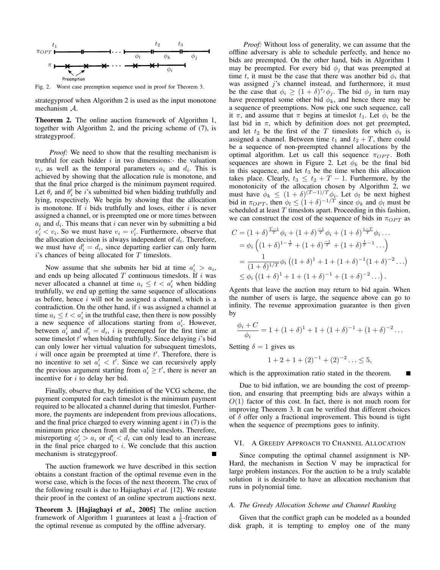

Fig. 2. Worst case preemption sequence used in proof for Theorem 3.

strategyproof when Algorithm 2 is used as the input monotone mechanism A.

Theorem 2. The online auction framework of Algorithm 1, together with Algorithm 2, and the pricing scheme of (7), is strategyproof.

*Proof:* We need to show that the resulting mechanism is truthful for each bidder  $i$  in two dimensions:- the valuation  $v_i$ , as well as the temporal parameters  $a_i$  and  $d_i$ . This is achieved by showing that the allocation rule is monotone, and that the final price charged is the minimum payment required. Let  $\theta_i$  and  $\theta'_i$  be *i*'s submitted bid when bidding truthfully and lying, respectively. We begin by showing that the allocation is monotone. If  $i$  bids truthfully and loses, either  $i$  is never assigned a channel, or is preempted one or more times between  $a_i$  and  $d_i$ . This means that i can never win by submitting a bid  $v'_i < v_i$ . So we must have  $v_i = v'_i$ . Furthermore, observe that the allocation decision is always independent of  $d_i$ . Therefore, we must have  $d_i' = d_i$ , since departing earlier can only harm  $i$ 's chances of being allocated for  $T$  timeslots.

Now assume that she submits her bid at time  $a'_i > a_i$ , and ends up being allocated  $T$  continuous timeslots. If  $i$  was never allocated a channel at time  $a_i \leq t < a'_i$  when bidding truthfully, we end up getting the same sequence of allocations as before, hence  $i$  will not be assigned a channel, which is a contradiction. On the other hand, if  $i$  was assigned a channel at time  $a_i \leq t < a'_i$  in the truthful case, then there is now possibly a new sequence of allocations starting from  $a'_i$ . However, between  $a_i^{\dagger}$  and  $d_i^{\dagger} = d_i$ , i is preempted for the first time at some timeslot  $t'$  when bidding truthfully. Since delaying  $i$ 's bid can only lower her virtual valuation for subsequent timeslots,  $i$  will once again be preempted at time  $t'$ . Therefore, there is no incentive to set  $a'_i < t'$ . Since we can recursively apply the previous argument starting from  $a'_i \geq t'$ , there is never an incentive for  $i$  to delay her bid.

Finally, observe that, by definition of the VCG scheme, the payment computed for each timeslot is the minimum payment required to be allocated a channel during that timeslot. Furthermore, the payments are independent from previous allocations, and the final price charged to every winning agent  $i$  in  $(7)$  is the minimum price chosen from all the valid timeslots. Therefore, misreporting  $a'_i > a_i$  or  $d'_i < d_i$  can only lead to an increase in the final price charged to  $i$ . We conclude that this auction mechanism is strategyproof.

The auction framework we have described in this section obtains a constant fraction of the optimal revenue even in the worse case, which is the focus of the next theorem. The crux of the following result is due to Hajiaghayi *et al.* [12]. We restate their proof in the context of an online spectrum auctions next.

Theorem 3. [Hajiaghayi *et al.*, 2005] The online auction framework of Algorithm 1 guarantees at least a  $\frac{1}{5}$ -fraction of the optimal revenue as computed by the offline adversary.

*Proof:* Without loss of generality, we can assume that the offline adversary is able to schedule perfectly, and hence no bids are preempted. On the other hand, bids in Algorithm 1 may be preempted. For every bid  $\phi_i$  that was preempted at time t, it must be the case that there was another bid  $\phi_i$  that was assigned  $j$ 's channel instead, and furthermore, it must be the case that  $\phi_i \ge (1+\delta)^{\tau_j} \phi_j$ . The bid  $\phi_j$  in turn may have preempted some other bid  $\phi_k$ , and hence there may be a sequence of preemptions. Now pick one such sequence, call it  $\pi$ , and assume that  $\pi$  begins at timeslot  $t_1$ . Let  $\phi_i$  be the last bid in  $\pi$ , which by definition does not get preempted, and let  $t_2$  be the first of the T timeslots for which  $\phi_i$  is assigned a channel. Between time  $t_1$  and  $t_2 + T$ , there could be a sequence of non-preempted channel allocations by the optimal algorithm. Let us call this sequence  $\pi_{OPT}$ . Both sequences are shown in Figure 2. Let  $\phi_k$  be the final bid in this sequence, and let  $t_3$  be the time when this allocation takes place. Clearly,  $t_3 \leq t_2 + T - 1$ . Furthermore, by the monotonicity of the allocation chosen by Algorithm 2, we must have  $\phi_k \leq (1+\delta)^{(T-1)/T} \phi_i$ . Let  $\phi_i$  be next highest bid in  $\pi_{OPT}$ , then  $\phi_l \le (1+\delta)^{-1/T}$  since  $\phi_k$  and  $\phi_l$  must be scheduled at least  $T$  timeslots apart. Proceeding in this fashion, we can construct the cost of the sequence of bids in  $\pi_{OPT}$  as

$$
C = (1 + \delta)^{\frac{T-1}{T}} \phi_i + (1 + \delta)^{\frac{-1}{T}} \phi_i + (1 + \delta)^{\frac{1-T}{T}} \phi_i \dots
$$
  
\n
$$
= \phi_i \left( (1 + \delta)^{1 - \frac{1}{T}} + (1 + \delta)^{\frac{-1}{T}} + (1 + \delta)^{\frac{1}{T} - 1} \dots \right)
$$
  
\n
$$
= \frac{1}{(1 + \delta)^{1/T}} \phi_i \left( (1 + \delta)^1 + 1 + (1 + \delta)^{-1} (1 + \delta)^{-2} \dots \right)
$$
  
\n
$$
\leq \phi_i \left( (1 + \delta)^1 + 1 + (1 + \delta)^{-1} + (1 + \delta)^{-2} \dots \right).
$$

Agents that leave the auction may return to bid again. When the number of users is large, the sequence above can go to infinity. The revenue approximation guarantee is then given by

$$
\frac{\phi_i + C}{\phi_i} = 1 + (1 + \delta)^1 + 1 + (1 + \delta)^{-1} + (1 + \delta)^{-2} \dots
$$

Setting  $\delta = 1$  gives us

$$
1 + 2 + 1 + (2)^{-1} + (2)^{-2} \dots \le 5,
$$

which is the approximation ratio stated in the theorem.

Due to bid inflation, we are bounding the cost of preemption, and ensuring that preempting bids are always within a  $O(1)$  factor of this cost. In fact, there is not much room for improving Theorem 3. It can be verified that different choices of  $\delta$  offer only a fractional improvement. This bound is tight when the sequence of preemptions goes to infinity.

# VI. A GREEDY APPROACH TO CHANNEL ALLOCATION

Since computing the optimal channel assignment is NP-Hard, the mechanism in Section V may be impractical for large problem instances. For the auction to be a truly scalable solution it is desirable to have an allocation mechanism that runs in polynomial time.

#### *A. The Greedy Allocation Scheme and Channel Ranking*

Given that the conflict graph can be modeled as a bounded disk graph, it is tempting to employ one of the many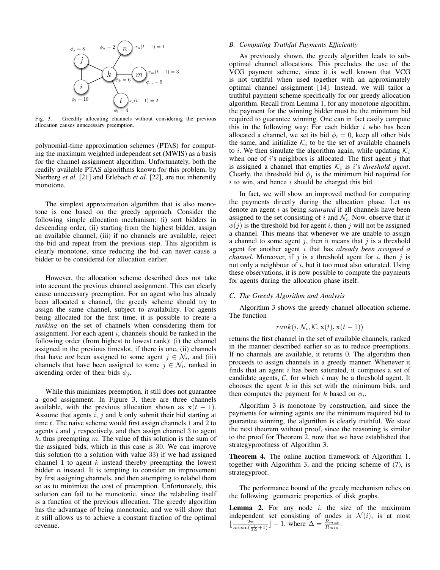

Fig. 3. Greedily allocating channels without considering the previous allocation causes unnecessary preemption.

polynomial-time approximation schemes (PTAS) for computing the maximum weighted independent set (MWIS) as a basis for the channel assignment algorithm. Unfortunately, both the readily available PTAS algorithms known for this problem, by Nierberg *et al.* [21] and Erlebach *et al.* [22], are not inherently monotone.

The simplest approximation algorithm that is also monotone is one based on the greedy approach. Consider the following simple allocation mechanism: (i) sort bidders in descending order, (ii) starting from the highest bidder, assign an available channel, (iii) if no channels are available, reject the bid and repeat from the previous step. This algorithm is clearly monotone, since reducing the bid can never cause a bidder to be considered for allocation earlier.

However, the allocation scheme described does not take into account the previous channel assignment. This can clearly cause unnecessary preemption. For an agent who has already been allocated a channel, the greedy scheme should try to assign the same channel, subject to availability. For agents being allocated for the first time, it is possible to create a *ranking* on the set of channels when considering them for assignment. For each agent  $i$ , channels should be ranked in the following order (from highest to lowest rank): (i) the channel assigned in the previous timeslot, if there is one, (ii) channels that have *not* been assigned to some agent  $j \in \mathcal{N}_i$ , and (iii) channels that have been assigned to some  $j \in \mathcal{N}_i$ , ranked in ascending order of their bids  $\phi_i$ .

While this minimizes preemption, it still does not guarantee a good assignment. In Figure 3, there are three channels available, with the previous allocation shown as  $x(t - 1)$ . Assume that agents  $i, j$  and  $k$  only submit their bid starting at time  $t$ . The naive scheme would first assign channels 1 and 2 to agents  $i$  and  $j$  respectively, and then assign channel 3 to agent  $k$ , thus preempting m. The value of this solution is the sum of the assigned bids, which in this case is 30. We can improve this solution (to a solution with value 33) if we had assigned channel 1 to agent  $k$  instead thereby preempting the lowest bidder  $n$  instead. It is tempting to consider an improvement by first assigning channels, and then attempting to relabel them so as to minimize the cost of preemption. Unfortunately, this solution can fail to be monotonic, since the relabeling itself is a function of the previous allocation. The greedy algorithm has the advantage of being monotonic, and we will show that it still allows us to achieve a constant fraction of the optimal revenue.

# *B. Computing Truthful Payments Efficiently*

As previously shown, the greedy algorithm leads to suboptimal channel allocations. This precludes the use of the VCG payment scheme, since it is well known that VCG is not truthful when used together with an approximately optimal channel assignment [14]. Instead, we will tailor a truthful payment scheme specifically for our greedy allocation algorithm. Recall from Lemma 1, for any monotone algorithm, the payment for the winning bidder must be the minimum bid required to guarantee winning. One can in fact easily compute this in the following way: For each bidder  $i$  who has been allocated a channel, we set its bid  $\phi_i = 0$ , keep all other bids the same, and initialize  $\mathcal{K}_i$  to be the set of available channels to *i*. We then simulate the algorithm again, while updating  $\mathcal{K}_i$ when one of i's neighbors is allocated. The first agent  $j$  that is assigned a channel that empties  $\mathcal{K}_i$  is *i*'s *threshold agent*. Clearly, the threshold bid  $\phi_i$  is the minimum bid required for  $i$  to win, and hence  $i$  should be charged this bid.

In fact, we will show an improved method for computing the payments directly during the allocation phase. Let us denote an agent i as being *saturated* if all channels have been assigned to the set consisting of i and  $\mathcal{N}_i$ . Now, observe that if  $\phi(j)$  is the threshold bid for agent i, then j will not be assigned a channel. This means that whenever we are unable to assign a channel to some agent  $j$ , then it means that  $j$  is a threshold agent for another agent i that has *already been assigned a channel*. Moreover, if  $j$  is a threshold agent for  $i$ , then  $j$  is not only a neighbour of  $i$ , but it too must also saturated. Using these observations, it is now possible to compute the payments for agents during the allocation phase itself.

# *C. The Greedy Algorithm and Analysis*

Algorithm 3 shows the greedy channel allocation scheme. The function

$$
rank(i, \mathcal{N}_i, \mathcal{K}, \mathbf{x}(t), \mathbf{x}(t-1))
$$

returns the first channel in the set of available channels, ranked in the manner described earlier so as to reduce preemptions. If no channels are available, it returns 0. The algorithm then proceeds to assign channels in a greedy manner. Whenever it finds that an agent  $i$  has been saturated, it computes a set of candidate agents,  $C$ , for which i may be a threshold agent. It chooses the agent  $k$  in this set with the minimum bids, and then computes the payment for k based on  $\phi_i$ .

Algorithm 3 is monotone by construction, and since the payments for winning agents are the minimum required bid to guarantee winning, the algorithm is clearly truthful. We state the next theorem without proof, since the reasoning is similar to the proof for Theorem 2, now that we have established that strategyproofness of Algorithm 3.

Theorem 4. The online auction framework of Algorithm 1, together with Algorithm 3, and the pricing scheme of (7), is strategyproof.

The performance bound of the greedy mechanism relies on the following geometric properties of disk graphs.

**Lemma 2.** For any node  $i$ , the size of the maximum independent set consisting of nodes in  $\mathcal{N}(i)$ , is at most  $\lfloor \frac{2\pi}{\arcsin(\frac{1}{2\Delta}+1)} \rfloor - 1$ , where  $\Delta = \frac{R_{max}}{R_{min}}$ .